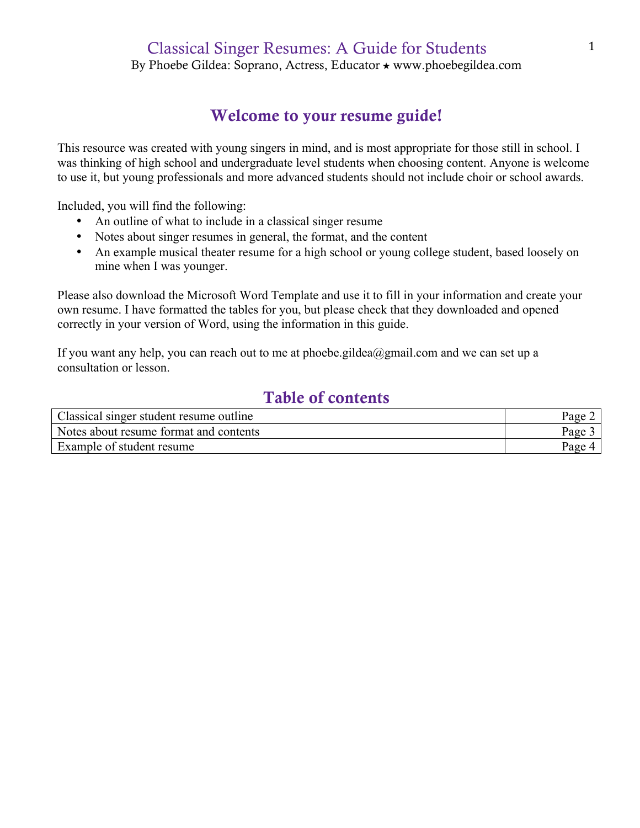## Classical Singer Resumes: A Guide for Students

By Phoebe Gildea: Soprano, Actress, Educator ★ www.phoebegildea.com

### Welcome to your resume guide!

This resource was created with young singers in mind, and is most appropriate for those still in school. I was thinking of high school and undergraduate level students when choosing content. Anyone is welcome to use it, but young professionals and more advanced students should not include choir or school awards.

Included, you will find the following:

- An outline of what to include in a classical singer resume
- Notes about singer resumes in general, the format, and the content
- An example musical theater resume for a high school or young college student, based loosely on mine when I was younger.

Please also download the Microsoft Word Template and use it to fill in your information and create your own resume. I have formatted the tables for you, but please check that they downloaded and opened correctly in your version of Word, using the information in this guide.

If you want any help, you can reach out to me at phoebe.gildea@gmail.com and we can set up a consultation or lesson.

## Table of contents

| Classical singer student resume outline | Page               |
|-----------------------------------------|--------------------|
| Notes about resume format and contents  | Page               |
| Example of student resume               | $_{\text{Page 4}}$ |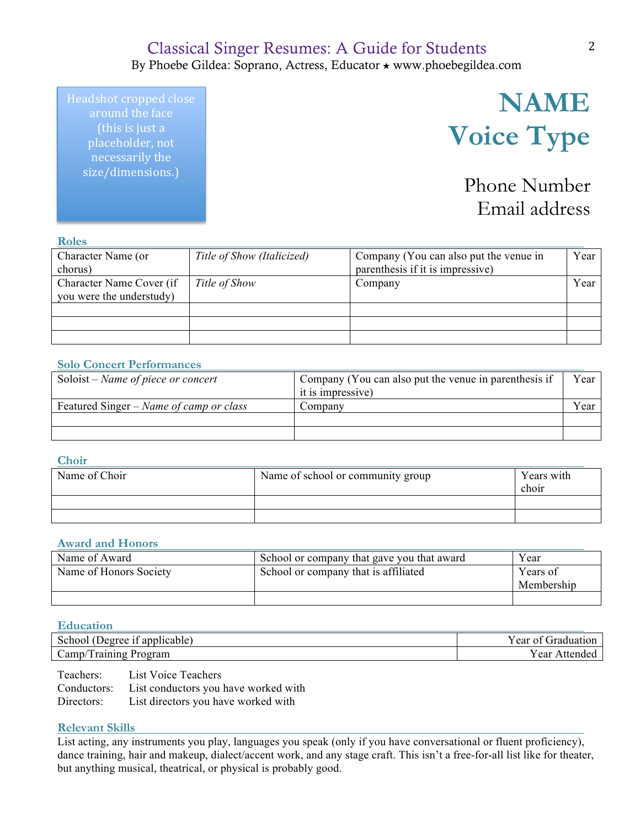### Classical Singer Resumes: A Guide for Students By Phoebe Gildea: Soprano, Actress, Educator ★ www.phoebegildea.com

Headshot cropped close around the face (this is just a placeholder, not necessarily the size/dimensions.)

# **NAME Voice Type**

Phone Number Email address

#### **Roles**

| .                        |                            |                                        |      |
|--------------------------|----------------------------|----------------------------------------|------|
| Character Name (or       | Title of Show (Italicized) | Company (You can also put the venue in | Year |
| chorus)                  |                            | parenthesis if it is impressive)       |      |
| Character Name Cover (if | Title of Show              | Company                                | Year |
| you were the understudy) |                            |                                        |      |
|                          |                            |                                        |      |
|                          |                            |                                        |      |
|                          |                            |                                        |      |

#### **Solo Concert Performances**

| Soloist – Name of piece or concert      | Company (You can also put the venue in parenthesis if | Year |
|-----------------------------------------|-------------------------------------------------------|------|
|                                         | it is impressive)                                     |      |
| Featured Singer – Name of camp or class | Company                                               | Year |
|                                         |                                                       |      |
|                                         |                                                       |      |

#### **Choir**

| Name of Choir | Name of school or community group | Years with<br>choir |
|---------------|-----------------------------------|---------------------|
|               |                                   |                     |
|               |                                   |                     |

#### **Award and Honors**

| Name of Award          | School or company that gave you that award | Year       |
|------------------------|--------------------------------------------|------------|
| Name of Honors Society | School or company that is affiliated       | Years of   |
|                        |                                            | Membership |
|                        |                                            |            |

#### **Education**

| applicable)<br>. Jeoree<br>School                  | $\sim$ $\sim$<br>$-$ тта $\epsilon$<br>. ear<br>-01<br>на |
|----------------------------------------------------|-----------------------------------------------------------|
| $\mathsf{Lamp}/\mathsf{Lap}$<br>Program<br>raining | ear<br>ne.                                                |

Teachers: List Voice Teachers Conductors: List conductors you have worked with Directors: List directors you have worked with

#### **Relevant Skills**

List acting, any instruments you play, languages you speak (only if you have conversational or fluent proficiency), dance training, hair and makeup, dialect/accent work, and any stage craft. This isn't a free-for-all list like for theater, but anything musical, theatrical, or physical is probably good.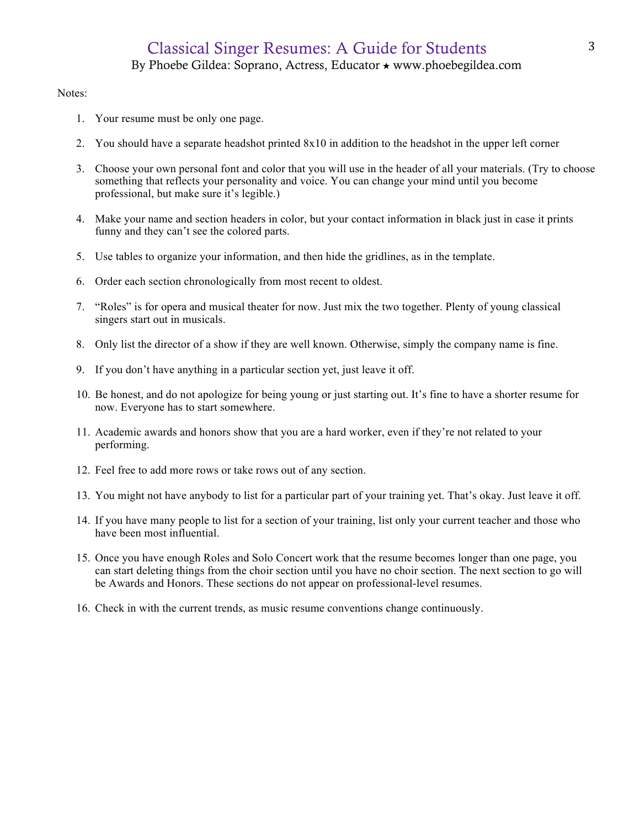## Classical Singer Resumes: A Guide for Students By Phoebe Gildea: Soprano, Actress, Educator ★ www.phoebegildea.com

#### Notes:

- 1. Your resume must be only one page.
- 2. You should have a separate headshot printed 8x10 in addition to the headshot in the upper left corner
- 3. Choose your own personal font and color that you will use in the header of all your materials. (Try to choose something that reflects your personality and voice. You can change your mind until you become professional, but make sure it's legible.)
- 4. Make your name and section headers in color, but your contact information in black just in case it prints funny and they can't see the colored parts.
- 5. Use tables to organize your information, and then hide the gridlines, as in the template.
- 6. Order each section chronologically from most recent to oldest.
- 7. "Roles" is for opera and musical theater for now. Just mix the two together. Plenty of young classical singers start out in musicals.
- 8. Only list the director of a show if they are well known. Otherwise, simply the company name is fine.
- 9. If you don't have anything in a particular section yet, just leave it off.
- 10. Be honest, and do not apologize for being young or just starting out. It's fine to have a shorter resume for now. Everyone has to start somewhere.
- 11. Academic awards and honors show that you are a hard worker, even if they're not related to your performing.
- 12. Feel free to add more rows or take rows out of any section.
- 13. You might not have anybody to list for a particular part of your training yet. That's okay. Just leave it off.
- 14. If you have many people to list for a section of your training, list only your current teacher and those who have been most influential.
- 15. Once you have enough Roles and Solo Concert work that the resume becomes longer than one page, you can start deleting things from the choir section until you have no choir section. The next section to go will be Awards and Honors. These sections do not appear on professional-level resumes.
- 16. Check in with the current trends, as music resume conventions change continuously.